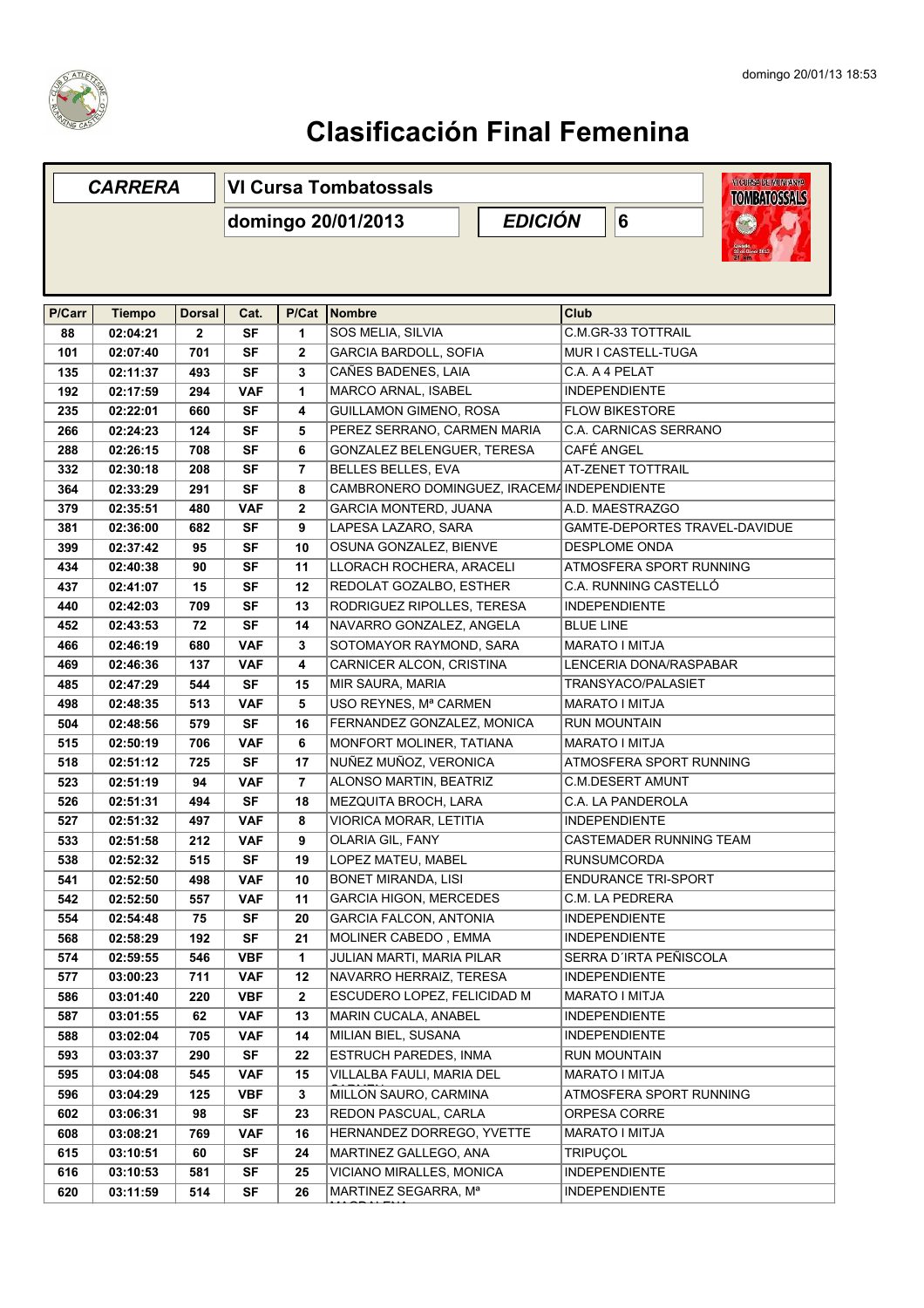

## **Clasificación Final Femenina**

| <b>CARRERA</b> |               |               | <b>WICUREA DE MUNITANYA</b><br><b>VI Cursa Tombatossals</b><br><b>TOMBATOSSALS</b> |                |                                             |                                   |  |
|----------------|---------------|---------------|------------------------------------------------------------------------------------|----------------|---------------------------------------------|-----------------------------------|--|
|                |               |               | <b>EDICIÓN</b><br>domingo 20/01/2013                                               |                |                                             | $6\phantom{a}$<br><b>Contract</b> |  |
|                |               |               |                                                                                    |                |                                             |                                   |  |
|                |               |               |                                                                                    |                |                                             |                                   |  |
| P/Carr         | <b>Tiempo</b> | <b>Dorsal</b> | Cat.                                                                               | P/Cat          | Nombre                                      | <b>Club</b>                       |  |
| 88             | 02:04:21      | $\mathbf{2}$  | <b>SF</b>                                                                          | $\mathbf{1}$   | SOS MELIA, SILVIA                           | C.M.GR-33 TOTTRAIL                |  |
| 101            | 02:07:40      | 701           | SF                                                                                 | $\mathbf{2}$   | GARCIA BARDOLL, SOFIA                       | MUR I CASTELL-TUGA                |  |
| 135            | 02:11:37      | 493           | SF                                                                                 | 3              | CAÑES BADENES, LAIA                         | C.A. A 4 PELAT                    |  |
| 192            | 02:17:59      | 294           | <b>VAF</b>                                                                         | 1              | MARCO ARNAL, ISABEL                         | <b>INDEPENDIENTE</b>              |  |
| 235            | 02:22:01      | 660           | SF                                                                                 | 4              | GUILLAMON GIMENO, ROSA                      | <b>FLOW BIKESTORE</b>             |  |
| 266            | 02:24:23      | 124           | SF                                                                                 | 5              | PEREZ SERRANO, CARMEN MARIA                 | <b>C.A. CARNICAS SERRANO</b>      |  |
| 288            | 02:26:15      | 708           | SF                                                                                 | 6              | GONZALEZ BELENGUER, TERESA                  | CAFÉ ANGEL                        |  |
| 332            | 02:30:18      | 208           | <b>SF</b>                                                                          | 7              | <b>BELLES BELLES, EVA</b>                   | AT-ZENET TOTTRAIL                 |  |
| 364            | 02:33:29      | 291           | SF                                                                                 | 8              | CAMBRONERO DOMINGUEZ. IRACEMA INDEPENDIENTE |                                   |  |
| 379            | 02:35:51      | 480           | <b>VAF</b>                                                                         | $\mathbf{2}$   | <b>GARCIA MONTERD, JUANA</b>                | A.D. MAESTRAZGO                   |  |
| 381            | 02:36:00      | 682           | <b>SF</b>                                                                          | 9              | LAPESA LAZARO, SARA                         | GAMTE-DEPORTES TRAVEL-DAVIDUE     |  |
| 399            | 02:37:42      | 95            | <b>SF</b>                                                                          | 10             | OSUNA GONZALEZ, BIENVE                      | <b>DESPLOME ONDA</b>              |  |
| 434            | 02:40:38      | 90            | SF                                                                                 | 11             | LLORACH ROCHERA, ARACELI                    | ATMOSFERA SPORT RUNNING           |  |
| 437            | 02:41:07      | 15            | SF                                                                                 | 12             | REDOLAT GOZALBO, ESTHER                     | C.A. RUNNING CASTELLÓ             |  |
| 440            | 02:42:03      | 709           | SF                                                                                 | 13             | RODRIGUEZ RIPOLLES, TERESA                  | <b>INDEPENDIENTE</b>              |  |
| 452            | 02:43:53      | 72            | SF                                                                                 | 14             | NAVARRO GONZALEZ, ANGELA                    | <b>BLUE LINE</b>                  |  |
| 466            | 02:46:19      | 680           | <b>VAF</b>                                                                         | 3              | SOTOMAYOR RAYMOND, SARA                     | <b>MARATO I MITJA</b>             |  |
| 469            | 02:46:36      | 137           | <b>VAF</b>                                                                         | 4              | CARNICER ALCON, CRISTINA                    | LENCERIA DONA/RASPABAR            |  |
| 485            | 02:47:29      | 544           | <b>SF</b>                                                                          | 15             | MIR SAURA, MARIA                            | TRANSYACO/PALASIET                |  |
| 498            | 02:48:35      | 513           | <b>VAF</b>                                                                         | 5              | USO REYNES, Mª CARMEN                       | <b>MARATO I MITJA</b>             |  |
| 504            | 02:48:56      | 579           | <b>SF</b>                                                                          | 16             | FERNANDEZ GONZALEZ, MONICA                  | <b>RUN MOUNTAIN</b>               |  |
| 515            | 02:50:19      | 706           | <b>VAF</b>                                                                         | 6              | MONFORT MOLINER, TATIANA                    | <b>MARATO I MITJA</b>             |  |
| 518            | 02:51:12      | 725           | <b>SF</b>                                                                          | 17             | NUÑEZ MUÑOZ, VERONICA                       | ATMOSFERA SPORT RUNNING           |  |
| 523            | 02:51:19      | 94            | <b>VAF</b>                                                                         | $\overline{7}$ | ALONSO MARTIN, BEATRIZ                      | <b>C.M.DESERT AMUNT</b>           |  |
| 526            | 02:51:31      | 494           | SF                                                                                 | 18             | MEZQUITA BROCH, LARA                        | C.A. LA PANDEROLA                 |  |
| 527            | 02:51:32      | 497           | <b>VAF</b>                                                                         | 8              | VIORICA MORAR, LETITIA                      | <b>INDEPENDIENTE</b>              |  |
| 533            | 02:51:58      | 212           | <b>VAF</b>                                                                         | 9              | OLARIA GIL, FANY                            | CASTEMADER RUNNING TEAM           |  |
| 538            | 02:52:32      | 515           | SF                                                                                 | 19             | LOPEZ MATEU, MABEL                          | <b>RUNSUMCORDA</b>                |  |
| 541            | 02:52:50      | 498           | VAF                                                                                | 10             | <b>BONET MIRANDA, LISI</b>                  | <b>ENDURANCE TRI-SPORT</b>        |  |
| 542            | 02:52:50      | 557           | VAF                                                                                | 11             | <b>GARCIA HIGON, MERCEDES</b>               | C.M. LA PEDRERA                   |  |
| 554            | 02:54:48      | 75            | SF                                                                                 | 20             | <b>GARCIA FALCON, ANTONIA</b>               | <b>INDEPENDIENTE</b>              |  |
| 568            | 02:58:29      | 192           | SF                                                                                 | 21             | MOLINER CABEDO, EMMA                        | <b>INDEPENDIENTE</b>              |  |
| 574            | 02:59:55      | 546           | VBF                                                                                | $\mathbf{1}$   | <b>JULIAN MARTI, MARIA PILAR</b>            | SERRA D'IRTA PEÑISCOLA            |  |
| 577            | 03:00:23      | 711           | <b>VAF</b>                                                                         | 12             | NAVARRO HERRAIZ, TERESA                     | <b>INDEPENDIENTE</b>              |  |
| 586            | 03:01:40      | 220           | VBF                                                                                | $\mathbf{2}$   | ESCUDERO LOPEZ, FELICIDAD M                 | MARATO I MITJA                    |  |
| 587            | 03:01:55      | 62            | VAF                                                                                | 13             | MARIN CUCALA, ANABEL                        | <b>INDEPENDIENTE</b>              |  |
| 588            | 03:02:04      | 705           | <b>VAF</b>                                                                         | 14             | MILIAN BIEL, SUSANA                         | <b>INDEPENDIENTE</b>              |  |
| 593            | 03:03:37      | 290           | SF                                                                                 | 22             | <b>ESTRUCH PAREDES, INMA</b>                | <b>RUN MOUNTAIN</b>               |  |
| 595            | 03:04:08      | 545           | <b>VAF</b>                                                                         | 15             | VILLALBA FAULI, MARIA DEL                   | MARATO I MITJA                    |  |
| 596            | 03:04:29      | 125           | VBF                                                                                | 3              | MILLON SAURO, CARMINA                       | ATMOSFERA SPORT RUNNING           |  |
| 602            | 03:06:31      | 98            | SF                                                                                 | 23             | REDON PASCUAL, CARLA                        | ORPESA CORRE                      |  |
| 608            | 03:08:21      | 769           | VAF                                                                                | 16             | HERNANDEZ DORREGO, YVETTE                   | MARATO I MITJA                    |  |
| 615            | 03:10:51      | 60            | SF                                                                                 | 24             | MARTINEZ GALLEGO, ANA                       | <b>TRIPUÇOL</b>                   |  |
| 616            | 03:10:53      | 581           | <b>SF</b>                                                                          | 25             | VICIANO MIRALLES, MONICA                    | <b>INDEPENDIENTE</b>              |  |
| 620            | 03:11:59      | 514           | SF                                                                                 | 26             | MARTINEZ SEGARRA, Mª                        | <b>INDEPENDIENTE</b>              |  |